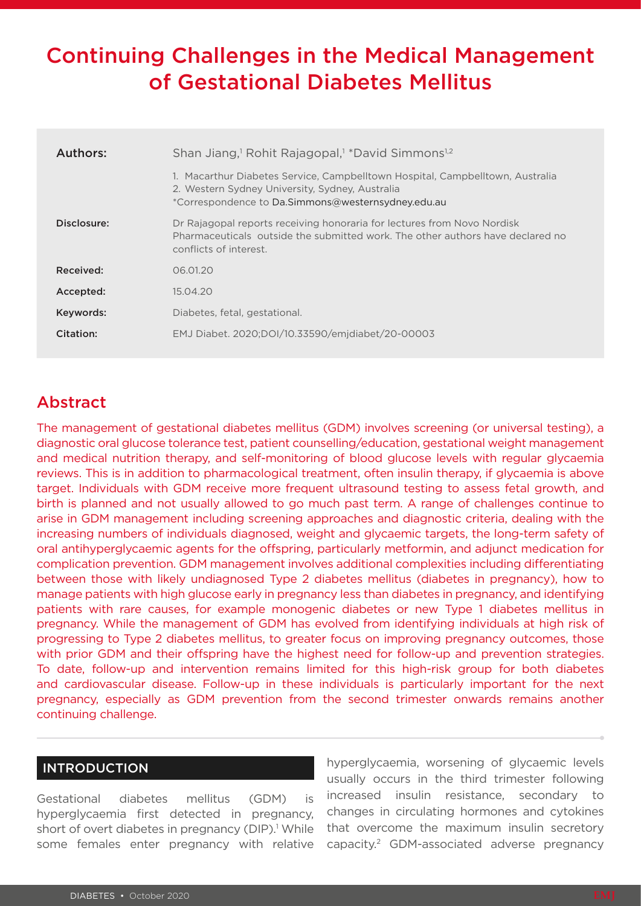# Continuing Challenges in the Medical Management of Gestational Diabetes Mellitus

| Authors:    | Shan Jiang, <sup>1</sup> Rohit Rajagopal, <sup>1</sup> *David Simmons <sup>1,2</sup>                                                                                                   |  |  |  |
|-------------|----------------------------------------------------------------------------------------------------------------------------------------------------------------------------------------|--|--|--|
|             | 1. Macarthur Diabetes Service, Campbelltown Hospital, Campbelltown, Australia<br>2. Western Sydney University, Sydney, Australia<br>*Correspondence to Da.Simmons@westernsydney.edu.au |  |  |  |
| Disclosure: | Dr Rajagopal reports receiving honoraria for lectures from Novo Nordisk<br>Pharmaceuticals, outside the submitted work. The other authors have declared no<br>conflicts of interest.   |  |  |  |
| Received:   | 06.01.20                                                                                                                                                                               |  |  |  |
| Accepted:   | 15.04.20                                                                                                                                                                               |  |  |  |
| Keywords:   | Diabetes, fetal, gestational.                                                                                                                                                          |  |  |  |
| Citation:   | EMJ Diabet. 2020;DOI/10.33590/emjdiabet/20-00003                                                                                                                                       |  |  |  |

## Abstract

The management of gestational diabetes mellitus (GDM) involves screening (or universal testing), a diagnostic oral glucose tolerance test, patient counselling/education, gestational weight management and medical nutrition therapy, and self-monitoring of blood glucose levels with regular glycaemia reviews. This is in addition to pharmacological treatment, often insulin therapy, if glycaemia is above target. Individuals with GDM receive more frequent ultrasound testing to assess fetal growth, and birth is planned and not usually allowed to go much past term. A range of challenges continue to arise in GDM management including screening approaches and diagnostic criteria, dealing with the increasing numbers of individuals diagnosed, weight and glycaemic targets, the long-term safety of oral antihyperglycaemic agents for the offspring, particularly metformin, and adjunct medication for complication prevention. GDM management involves additional complexities including differentiating between those with likely undiagnosed Type 2 diabetes mellitus (diabetes in pregnancy), how to manage patients with high glucose early in pregnancy less than diabetes in pregnancy, and identifying patients with rare causes, for example monogenic diabetes or new Type 1 diabetes mellitus in pregnancy. While the management of GDM has evolved from identifying individuals at high risk of progressing to Type 2 diabetes mellitus, to greater focus on improving pregnancy outcomes, those with prior GDM and their offspring have the highest need for follow-up and prevention strategies. To date, follow-up and intervention remains limited for this high-risk group for both diabetes and cardiovascular disease. Follow-up in these individuals is particularly important for the next pregnancy, especially as GDM prevention from the second trimester onwards remains another continuing challenge.

#### INTRODUCTION

Gestational diabetes mellitus (GDM) is hyperglycaemia first detected in pregnancy, short of overt diabetes in pregnancy (DIP).<sup>1</sup> While some females enter pregnancy with relative

hyperglycaemia, worsening of glycaemic levels usually occurs in the third trimester following increased insulin resistance, secondary to changes in circulating hormones and cytokines that overcome the maximum insulin secretory capacity.2 GDM-associated adverse pregnancy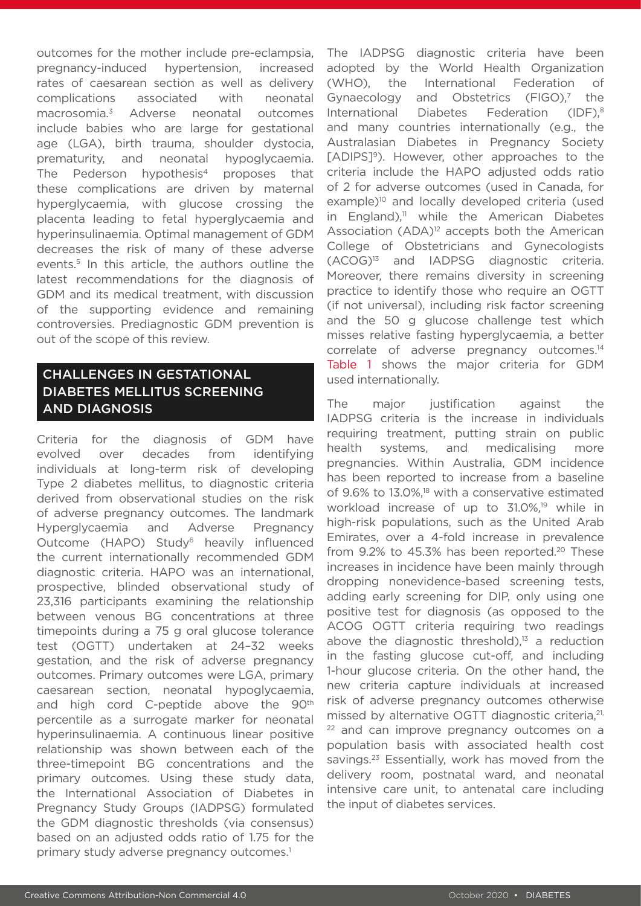outcomes for the mother include pre-eclampsia, pregnancy-induced hypertension, increased rates of caesarean section as well as delivery complications associated with neonatal macrosomia.3 Adverse neonatal outcomes include babies who are large for gestational age (LGA), birth trauma, shoulder dystocia, prematurity, and neonatal hypoglycaemia. The Pederson hypothesis<sup>4</sup> proposes that these complications are driven by maternal hyperglycaemia, with glucose crossing the placenta leading to fetal hyperglycaemia and hyperinsulinaemia. Optimal management of GDM decreases the risk of many of these adverse events.<sup>5</sup> In this article, the authors outline the latest recommendations for the diagnosis of GDM and its medical treatment, with discussion of the supporting evidence and remaining controversies. Prediagnostic GDM prevention is out of the scope of this review.

## CHALLENGES IN GESTATIONAL DIABETES MELLITUS SCREENING AND DIAGNOSIS

Criteria for the diagnosis of GDM have evolved over decades from identifying individuals at long-term risk of developing Type 2 diabetes mellitus, to diagnostic criteria derived from observational studies on the risk of adverse pregnancy outcomes. The landmark Hyperglycaemia and Adverse Pregnancy Outcome (HAPO) Study<sup>6</sup> heavily influenced the current internationally recommended GDM diagnostic criteria. HAPO was an international, prospective, blinded observational study of 23,316 participants examining the relationship between venous BG concentrations at three timepoints during a 75 g oral glucose tolerance test (OGTT) undertaken at 24–32 weeks gestation, and the risk of adverse pregnancy outcomes. Primary outcomes were LGA, primary caesarean section, neonatal hypoglycaemia, and high cord C-peptide above the 90<sup>th</sup> percentile as a surrogate marker for neonatal hyperinsulinaemia. A continuous linear positive relationship was shown between each of the three-timepoint BG concentrations and the primary outcomes. Using these study data, the International Association of Diabetes in Pregnancy Study Groups (IADPSG) formulated the GDM diagnostic thresholds (via consensus) based on an adjusted odds ratio of 1.75 for the primary study adverse pregnancy outcomes.<sup>1</sup>

The IADPSG diagnostic criteria have been adopted by the World Health Organization (WHO), the International Federation of Gynaecology and Obstetrics  $(FIGO)^7$  the International Diabetes Federation (IDF),<sup>8</sup> and many countries internationally (e.g., the Australasian Diabetes in Pregnancy Society [ADIPS]<sup>9</sup>). However, other approaches to the criteria include the HAPO adjusted odds ratio of 2 for adverse outcomes (used in Canada, for example)<sup>10</sup> and locally developed criteria (used in England), $11$  while the American Diabetes Association  $(ADA)^{12}$  accepts both the American College of Obstetricians and Gynecologists (ACOG)13 and IADPSG diagnostic criteria. Moreover, there remains diversity in screening practice to identify those who require an OGTT (if not universal), including risk factor screening and the 50 g glucose challenge test which misses relative fasting hyperglycaemia, a better correlate of adverse pregnancy outcomes.14 Table 1 shows the major criteria for GDM used internationally.

The major justification against the IADPSG criteria is the increase in individuals requiring treatment, putting strain on public health systems, and medicalising more pregnancies. Within Australia, GDM incidence has been reported to increase from a baseline of 9.6% to 13.0%,<sup>18</sup> with a conservative estimated workload increase of up to  $31.0\%$ <sup>19</sup> while in high-risk populations, such as the United Arab Emirates, over a 4-fold increase in prevalence from  $9.2\%$  to 45.3% has been reported.<sup>20</sup> These increases in incidence have been mainly through dropping nonevidence-based screening tests, adding early screening for DIP, only using one positive test for diagnosis (as opposed to the ACOG OGTT criteria requiring two readings above the diagnostic threshold), $13$  a reduction in the fasting glucose cut-off, and including 1-hour glucose criteria. On the other hand, the new criteria capture individuals at increased risk of adverse pregnancy outcomes otherwise missed by alternative OGTT diagnostic criteria, <sup>21,</sup>  $22$  and can improve pregnancy outcomes on a population basis with associated health cost savings.<sup>23</sup> Essentially, work has moved from the delivery room, postnatal ward, and neonatal intensive care unit, to antenatal care including the input of diabetes services.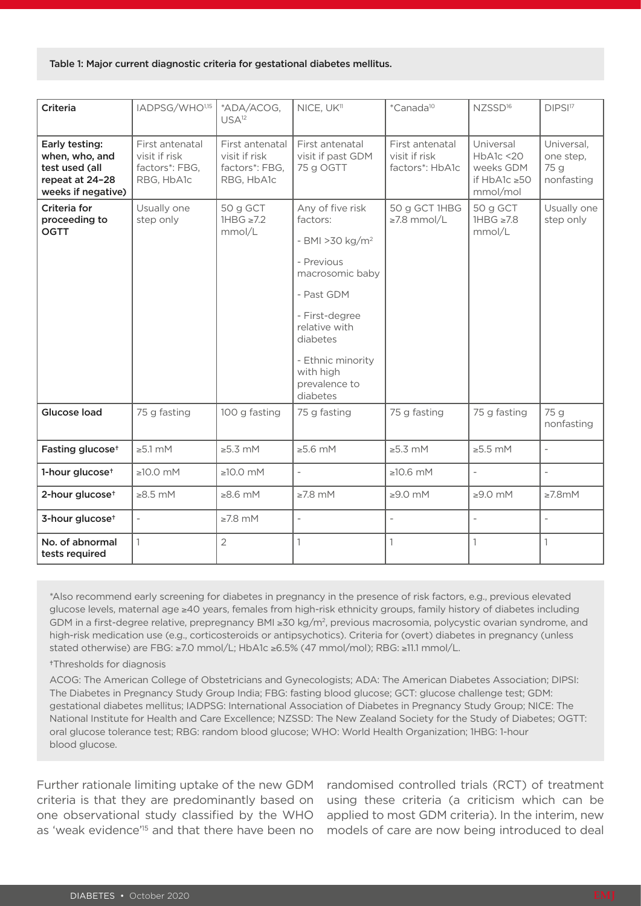#### Table 1: Major current diagnostic criteria for gestational diabetes mellitus.

| Criteria                                                                                    | IADPSG/WHO1,15                                                   | *ADA/ACOG,<br>USA <sup>12</sup>                                  | NICE, UK <sup>11</sup>                                                                                                                                                                                                    | *Canada <sup>10</sup>                               | NZSSD <sup>16</sup>                                              | DIPSI <sup>17</sup>                           |
|---------------------------------------------------------------------------------------------|------------------------------------------------------------------|------------------------------------------------------------------|---------------------------------------------------------------------------------------------------------------------------------------------------------------------------------------------------------------------------|-----------------------------------------------------|------------------------------------------------------------------|-----------------------------------------------|
| Early testing:<br>when, who, and<br>test used (all<br>repeat at 24-28<br>weeks if negative) | First antenatal<br>visit if risk<br>factors*: FBG,<br>RBG, HbA1c | First antenatal<br>visit if risk<br>factors*: FBG,<br>RBG, HbA1c | First antenatal<br>visit if past GDM<br>75 g OGTT                                                                                                                                                                         | First antenatal<br>visit if risk<br>factors*: HbA1c | Universal<br>HbA1c < 20<br>weeks GDM<br>if HbA1c ≥50<br>mmol/mol | Universal,<br>one step,<br>75 g<br>nonfasting |
| Criteria for<br>proceeding to<br><b>OGTT</b>                                                | Usually one<br>step only                                         | 50 g GCT<br>$1HBG \ge 7.2$<br>mmol/L                             | Any of five risk<br>factors:<br>- BMI > 30 kg/m <sup>2</sup><br>- Previous<br>macrosomic baby<br>- Past GDM<br>- First-degree<br>relative with<br>diabetes<br>- Ethnic minority<br>with high<br>prevalence to<br>diabetes | 50 g GCT 1HBG<br>$\geq$ 7.8 mmol/L                  | 50 g GCT<br>$1HBG \ge 7.8$<br>mmol/L                             | Usually one<br>step only                      |
| Glucose load                                                                                | 75 g fasting                                                     | 100 g fasting                                                    | 75 g fasting                                                                                                                                                                                                              | 75 g fasting                                        | 75 g fasting                                                     | 75 g<br>nonfasting                            |
| Fasting glucose <sup>+</sup>                                                                | $\geq 5.1$ mM                                                    | $\geq 5.3$ mM                                                    | $\geq 5.6$ mM                                                                                                                                                                                                             | $\geq 5.3$ mM                                       | $\geq 5.5$ mM                                                    | $\overline{a}$                                |
| 1-hour glucose <sup>+</sup>                                                                 | $\geq 10.0$ mM                                                   | $\geq 10.0$ mM                                                   | $\overline{\phantom{0}}$                                                                                                                                                                                                  | $\geq 10.6$ mM                                      | $\overline{\phantom{0}}$                                         | $\overline{\phantom{a}}$                      |
| 2-hour glucose <sup>+</sup>                                                                 | $\geq 8.5$ mM                                                    | $\geq 8.6$ mM                                                    | $\geq 7.8$ mM                                                                                                                                                                                                             | $\geq 9.0$ mM                                       | $\geq 9.0$ mM                                                    | $\geq 7.8$ mM                                 |
| 3-hour glucose <sup>+</sup>                                                                 |                                                                  | $\geq 7.8$ mM                                                    | $\overline{a}$                                                                                                                                                                                                            |                                                     | $\overline{a}$                                                   |                                               |
| No. of abnormal<br>tests required                                                           | $\mathbf{1}$                                                     | $\overline{2}$                                                   | 1                                                                                                                                                                                                                         | $\mathbf{1}$                                        | $\mathbf{1}$                                                     | 1                                             |

\*Also recommend early screening for diabetes in pregnancy in the presence of risk factors, e.g., previous elevated glucose levels, maternal age ≥40 years, females from high-risk ethnicity groups, family history of diabetes including GDM in a first-degree relative, prepregnancy BMI ≥30 kg/m2, previous macrosomia, polycystic ovarian syndrome, and high-risk medication use (e.g., corticosteroids or antipsychotics). Criteria for (overt) diabetes in pregnancy (unless stated otherwise) are FBG: ≥7.0 mmol/L; HbA1c ≥6.5% (47 mmol/mol); RBG: ≥11.1 mmol/L.

#### †Thresholds for diagnosis

ACOG: The American College of Obstetricians and Gynecologists; ADA: The American Diabetes Association; DIPSI: The Diabetes in Pregnancy Study Group India; FBG: fasting blood glucose; GCT: glucose challenge test; GDM: gestational diabetes mellitus; IADPSG: International Association of Diabetes in Pregnancy Study Group; NICE: The National Institute for Health and Care Excellence; NZSSD: The New Zealand Society for the Study of Diabetes; OGTT: oral glucose tolerance test; RBG: random blood glucose; WHO: World Health Organization; 1HBG: 1-hour blood glucose.

Further rationale limiting uptake of the new GDM criteria is that they are predominantly based on one observational study classified by the WHO as 'weak evidence'<sup>15</sup> and that there have been no

randomised controlled trials (RCT) of treatment using these criteria (a criticism which can be applied to most GDM criteria). In the interim, new models of care are now being introduced to deal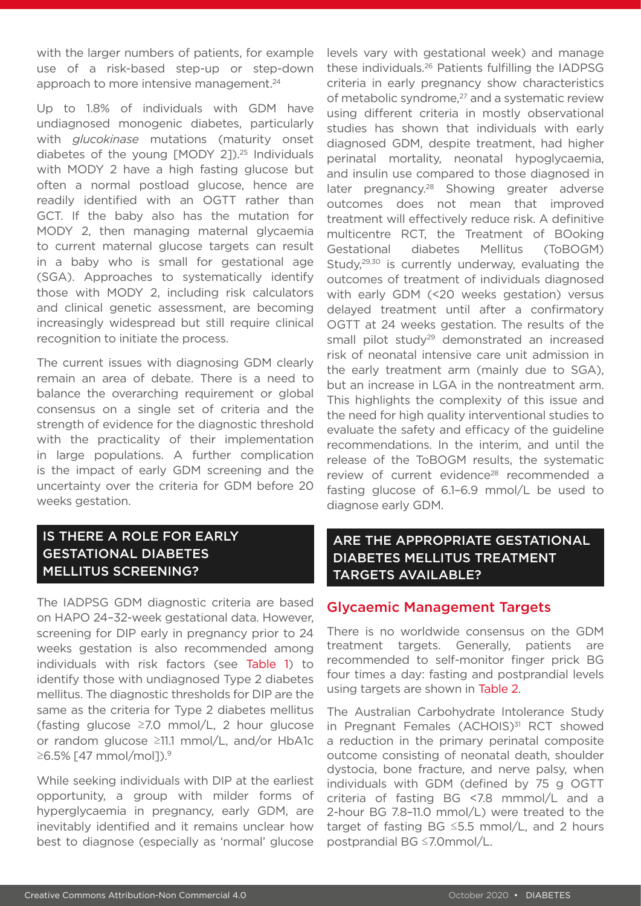with the larger numbers of patients, for example use of a risk-based step-up or step-down approach to more intensive management.<sup>24</sup>

Up to 1.8% of individuals with GDM have undiagnosed monogenic diabetes, particularly with *glucokinase* mutations (maturity onset diabetes of the young [MODY 2]).<sup>25</sup> Individuals with MODY 2 have a high fasting glucose but often a normal postload glucose, hence are readily identified with an OGTT rather than GCT. If the baby also has the mutation for MODY 2, then managing maternal glycaemia to current maternal glucose targets can result in a baby who is small for gestational age (SGA). Approaches to systematically identify those with MODY 2, including risk calculators and clinical genetic assessment, are becoming increasingly widespread but still require clinical recognition to initiate the process.

The current issues with diagnosing GDM clearly remain an area of debate. There is a need to balance the overarching requirement or global consensus on a single set of criteria and the strength of evidence for the diagnostic threshold with the practicality of their implementation in large populations. A further complication is the impact of early GDM screening and the uncertainty over the criteria for GDM before 20 weeks gestation.

#### IS THERE A ROLE FOR EARLY GESTATIONAL DIABETES MELLITUS SCREENING?

The IADPSG GDM diagnostic criteria are based on HAPO 24–32-week gestational data. However, screening for DIP early in pregnancy prior to 24 weeks gestation is also recommended among individuals with risk factors (see Table 1) to identify those with undiagnosed Type 2 diabetes mellitus. The diagnostic thresholds for DIP are the same as the criteria for Type 2 diabetes mellitus (fasting glucose ≥7.0 mmol/L, 2 hour glucose or random glucose ≥11.1 mmol/L, and/or HbA1c ≥6.5% [47 mmol/mol]).9

While seeking individuals with DIP at the earliest opportunity, a group with milder forms of hyperglycaemia in pregnancy, early GDM, are inevitably identified and it remains unclear how best to diagnose (especially as 'normal' glucose

levels vary with gestational week) and manage these individuals.26 Patients fulfilling the IADPSG criteria in early pregnancy show characteristics of metabolic syndrome,<sup>27</sup> and a systematic review using different criteria in mostly observational studies has shown that individuals with early diagnosed GDM, despite treatment, had higher perinatal mortality, neonatal hypoglycaemia, and insulin use compared to those diagnosed in later pregnancy.<sup>28</sup> Showing greater adverse outcomes does not mean that improved treatment will effectively reduce risk. A definitive multicentre RCT, the Treatment of BOoking Gestational diabetes Mellitus (ToBOGM) Study,<sup>29,30</sup> is currently underway, evaluating the outcomes of treatment of individuals diagnosed with early GDM (<20 weeks gestation) versus delayed treatment until after a confirmatory OGTT at 24 weeks gestation. The results of the small pilot study<sup>29</sup> demonstrated an increased risk of neonatal intensive care unit admission in the early treatment arm (mainly due to SGA), but an increase in LGA in the nontreatment arm. This highlights the complexity of this issue and the need for high quality interventional studies to evaluate the safety and efficacy of the guideline recommendations. In the interim, and until the release of the ToBOGM results, the systematic review of current evidence<sup>28</sup> recommended a fasting glucose of 6.1–6.9 mmol/L be used to diagnose early GDM.

#### ARE THE APPROPRIATE GESTATIONAL DIABETES MELLITUS TREATMENT TARGETS AVAILABLE?

#### Glycaemic Management Targets

There is no worldwide consensus on the GDM treatment targets. Generally, patients are recommended to self-monitor finger prick BG four times a day: fasting and postprandial levels using targets are shown in Table 2.

The Australian Carbohydrate Intolerance Study in Pregnant Females (ACHOIS)<sup>31</sup> RCT showed a reduction in the primary perinatal composite outcome consisting of neonatal death, shoulder dystocia, bone fracture, and nerve palsy, when individuals with GDM (defined by 75 g OGTT criteria of fasting BG <7.8 mmmol/L and a 2-hour BG 7.8–11.0 mmol/L) were treated to the target of fasting BG ≤5.5 mmol/L, and 2 hours postprandial BG ≤7.0mmol/L.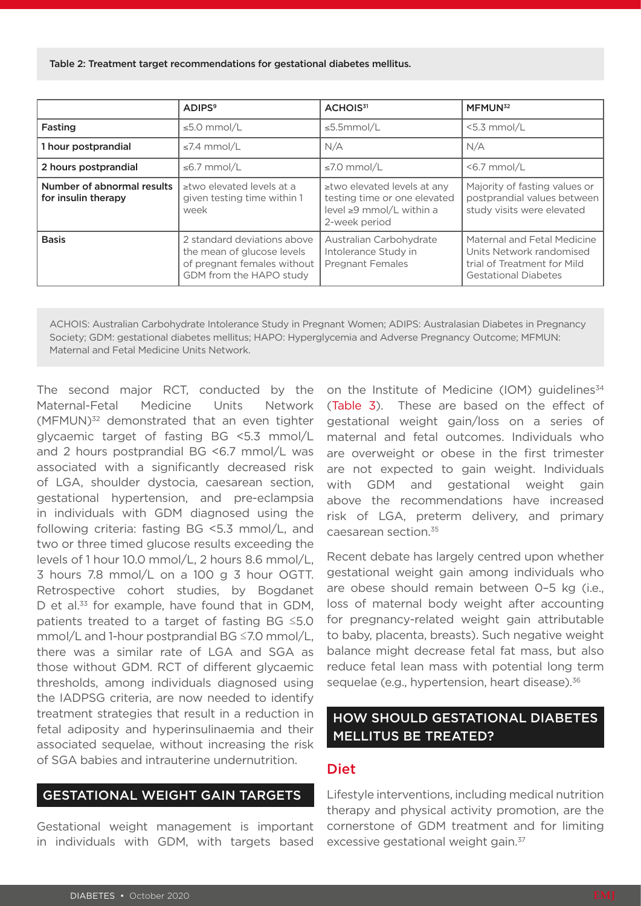Table 2: Treatment target recommendations for gestational diabetes mellitus.

|                                                   | <b>ADIPS<sup>9</sup></b>                                                                                            | ACHOIS <sup>31</sup>                                                                                           | MFMUN <sup>32</sup>                                                                                                   |
|---------------------------------------------------|---------------------------------------------------------------------------------------------------------------------|----------------------------------------------------------------------------------------------------------------|-----------------------------------------------------------------------------------------------------------------------|
| Fasting                                           | $\leq$ 5.0 mmol/L                                                                                                   | $\leq$ 5.5mmol/L                                                                                               | $<$ 5.3 mmol/L                                                                                                        |
| 1 hour postprandial                               | $\leq 7.4$ mmol/L                                                                                                   | N/A                                                                                                            | N/A                                                                                                                   |
| 2 hours postprandial                              | ≤6.7 mmol/L                                                                                                         | $\leq 7.0$ mmol/L                                                                                              | $<$ 6.7 mmol/L                                                                                                        |
| Number of abnormal results<br>for insulin therapy | ≥two elevated levels at a<br>given testing time within 1<br>week                                                    | ≥two elevated levels at any<br>testing time or one elevated<br>level $\geq 9$ mmol/L within a<br>2-week period | Majority of fasting values or<br>postprandial values between<br>study visits were elevated                            |
| <b>Basis</b>                                      | 2 standard deviations above<br>the mean of glucose levels<br>of pregnant females without<br>GDM from the HAPO study | Australian Carbohydrate<br>Intolerance Study in<br><b>Pregnant Females</b>                                     | Maternal and Fetal Medicine<br>Units Network randomised<br>trial of Treatment for Mild<br><b>Gestational Diabetes</b> |

ACHOIS: Australian Carbohydrate Intolerance Study in Pregnant Women; ADIPS: Australasian Diabetes in Pregnancy Society; GDM: gestational diabetes mellitus; HAPO: Hyperglycemia and Adverse Pregnancy Outcome; MFMUN: Maternal and Fetal Medicine Units Network.

The second major RCT, conducted by the Maternal-Fetal Medicine Units Network (MFMUN)<sup>32</sup> demonstrated that an even tighter glycaemic target of fasting BG <5.3 mmol/L and 2 hours postprandial BG <6.7 mmol/L was associated with a significantly decreased risk of LGA, shoulder dystocia, caesarean section, gestational hypertension, and pre-eclampsia in individuals with GDM diagnosed using the following criteria: fasting BG <5.3 mmol/L, and two or three timed glucose results exceeding the levels of 1 hour 10.0 mmol/L, 2 hours 8.6 mmol/L, 3 hours 7.8 mmol/L on a 100 g 3 hour OGTT. Retrospective cohort studies, by Bogdanet D et al.<sup>33</sup> for example, have found that in GDM, patients treated to a target of fasting BG ≤5.0 mmol/L and 1-hour postprandial BG ≤7.0 mmol/L, there was a similar rate of LGA and SGA as those without GDM. RCT of different glycaemic thresholds, among individuals diagnosed using the IADPSG criteria, are now needed to identify treatment strategies that result in a reduction in fetal adiposity and hyperinsulinaemia and their associated sequelae, without increasing the risk of SGA babies and intrauterine undernutrition.

#### GESTATIONAL WEIGHT GAIN TARGETS

Gestational weight management is important in individuals with GDM, with targets based

on the Institute of Medicine (IOM) guidelines<sup>34</sup> (Table 3). These are based on the effect of gestational weight gain/loss on a series of maternal and fetal outcomes. Individuals who are overweight or obese in the first trimester are not expected to gain weight. Individuals with GDM and gestational weight gain above the recommendations have increased risk of LGA, preterm delivery, and primary caesarean section.35

Recent debate has largely centred upon whether gestational weight gain among individuals who are obese should remain between 0–5 kg (i.e., loss of maternal body weight after accounting for pregnancy-related weight gain attributable to baby, placenta, breasts). Such negative weight balance might decrease fetal fat mass, but also reduce fetal lean mass with potential long term sequelae (e.g., hypertension, heart disease).<sup>36</sup>

#### HOW SHOULD GESTATIONAL DIABETES MELLITUS BE TREATED?

#### Diet

Lifestyle interventions, including medical nutrition therapy and physical activity promotion, are the cornerstone of GDM treatment and for limiting excessive gestational weight gain.<sup>37</sup>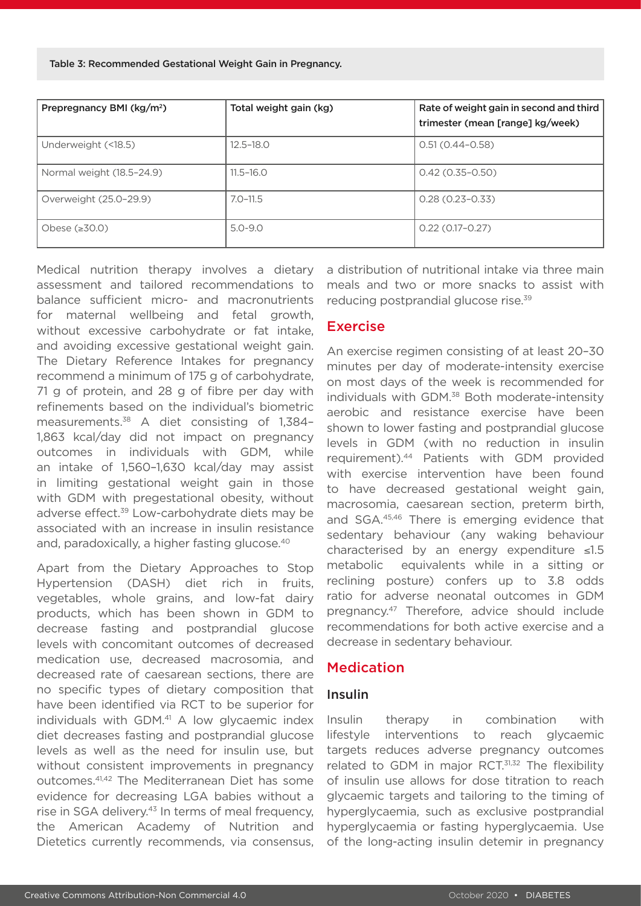Table 3: Recommended Gestational Weight Gain in Pregnancy.

| Prepregnancy BMI (kg/m <sup>2</sup> ) | Total weight gain (kg) | Rate of weight gain in second and third<br>trimester (mean [range] kg/week) |
|---------------------------------------|------------------------|-----------------------------------------------------------------------------|
| Underweight (<18.5)                   | $12.5 - 18.0$          | $0.51(0.44 - 0.58)$                                                         |
| Normal weight (18.5-24.9)             | $11.5 - 16.0$          | $0.42(0.35 - 0.50)$                                                         |
| Overweight (25.0-29.9)                | $7.0 - 11.5$           | $0.28(0.23 - 0.33)$                                                         |
| Obese $(\geq 30.0)$                   | $5.0 - 9.0$            | $0.22(0.17-0.27)$                                                           |

Medical nutrition therapy involves a dietary assessment and tailored recommendations to balance sufficient micro- and macronutrients for maternal wellbeing and fetal growth, without excessive carbohydrate or fat intake, and avoiding excessive gestational weight gain. The Dietary Reference Intakes for pregnancy recommend a minimum of 175 g of carbohydrate, 71 g of protein, and 28 g of fibre per day with refinements based on the individual's biometric measurements.38 A diet consisting of 1,384– 1,863 kcal/day did not impact on pregnancy outcomes in individuals with GDM, while an intake of 1,560–1,630 kcal/day may assist in limiting gestational weight gain in those with GDM with pregestational obesity, without adverse effect.39 Low-carbohydrate diets may be associated with an increase in insulin resistance and, paradoxically, a higher fasting glucose.<sup>40</sup>

Apart from the Dietary Approaches to Stop Hypertension (DASH) diet rich in fruits, vegetables, whole grains, and low-fat dairy products, which has been shown in GDM to decrease fasting and postprandial glucose levels with concomitant outcomes of decreased medication use, decreased macrosomia, and decreased rate of caesarean sections, there are no specific types of dietary composition that have been identified via RCT to be superior for individuals with GDM.<sup>41</sup> A low glycaemic index diet decreases fasting and postprandial glucose levels as well as the need for insulin use, but without consistent improvements in pregnancy outcomes.41,42 The Mediterranean Diet has some evidence for decreasing LGA babies without a rise in SGA delivery.<sup>43</sup> In terms of meal frequency, the American Academy of Nutrition and Dietetics currently recommends, via consensus,

a distribution of nutritional intake via three main meals and two or more snacks to assist with reducing postprandial glucose rise.39

#### Exercise

An exercise regimen consisting of at least 20–30 minutes per day of moderate-intensity exercise on most days of the week is recommended for individuals with GDM.<sup>38</sup> Both moderate-intensity aerobic and resistance exercise have been shown to lower fasting and postprandial glucose levels in GDM (with no reduction in insulin requirement).44 Patients with GDM provided with exercise intervention have been found to have decreased gestational weight gain, macrosomia, caesarean section, preterm birth, and SGA.45,46 There is emerging evidence that sedentary behaviour (any waking behaviour characterised by an energy expenditure ≤1.5 metabolic equivalents while in a sitting or reclining posture) confers up to 3.8 odds ratio for adverse neonatal outcomes in GDM pregnancy.47 Therefore, advice should include recommendations for both active exercise and a decrease in sedentary behaviour.

#### Medication

#### Insulin

Insulin therapy in combination with lifestyle interventions to reach glycaemic targets reduces adverse pregnancy outcomes related to GDM in major RCT.<sup>31,32</sup> The flexibility of insulin use allows for dose titration to reach glycaemic targets and tailoring to the timing of hyperglycaemia, such as exclusive postprandial hyperglycaemia or fasting hyperglycaemia. Use of the long-acting insulin detemir in pregnancy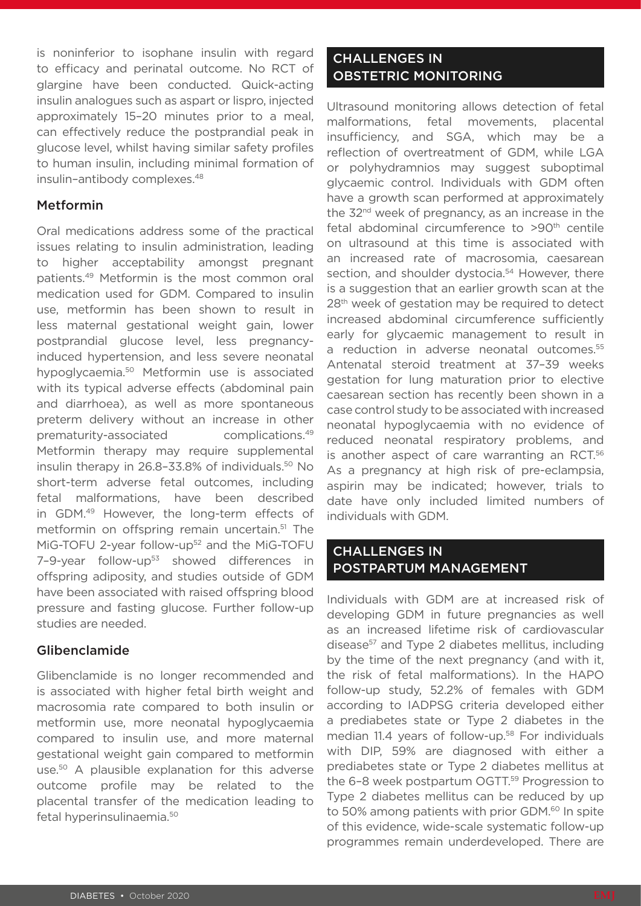is noninferior to isophane insulin with regard to efficacy and perinatal outcome. No RCT of glargine have been conducted. Quick-acting insulin analogues such as aspart or lispro, injected approximately 15–20 minutes prior to a meal, can effectively reduce the postprandial peak in glucose level, whilst having similar safety profiles to human insulin, including minimal formation of insulin–antibody complexes.48

#### Metformin

Oral medications address some of the practical issues relating to insulin administration, leading to higher acceptability amongst pregnant patients.49 Metformin is the most common oral medication used for GDM. Compared to insulin use, metformin has been shown to result in less maternal gestational weight gain, lower postprandial glucose level, less pregnancyinduced hypertension, and less severe neonatal hypoglycaemia.<sup>50</sup> Metformin use is associated with its typical adverse effects (abdominal pain and diarrhoea), as well as more spontaneous preterm delivery without an increase in other prematurity-associated complications.49 Metformin therapy may require supplemental insulin therapy in 26.8-33.8% of individuals.<sup>50</sup> No short-term adverse fetal outcomes, including fetal malformations, have been described in GDM.49 However, the long-term effects of metformin on offspring remain uncertain.51 The MiG-TOFU 2-year follow-up<sup>52</sup> and the MiG-TOFU 7-9-year follow-up<sup>53</sup> showed differences in offspring adiposity, and studies outside of GDM have been associated with raised offspring blood pressure and fasting glucose. Further follow-up studies are needed.

#### Glibenclamide

Glibenclamide is no longer recommended and is associated with higher fetal birth weight and macrosomia rate compared to both insulin or metformin use, more neonatal hypoglycaemia compared to insulin use, and more maternal gestational weight gain compared to metformin use.50 A plausible explanation for this adverse outcome profile may be related to the placental transfer of the medication leading to fetal hyperinsulinaemia.50

## CHALLENGES IN OBSTETRIC MONITORING

Ultrasound monitoring allows detection of fetal malformations, fetal movements, placental insufficiency, and SGA, which may be a reflection of overtreatment of GDM, while LGA or polyhydramnios may suggest suboptimal glycaemic control. Individuals with GDM often have a growth scan performed at approximately the 32<sup>nd</sup> week of pregnancy, as an increase in the fetal abdominal circumference to >90<sup>th</sup> centile on ultrasound at this time is associated with an increased rate of macrosomia, caesarean section, and shoulder dystocia.<sup>54</sup> However, there is a suggestion that an earlier growth scan at the 28<sup>th</sup> week of gestation may be required to detect increased abdominal circumference sufficiently early for glycaemic management to result in a reduction in adverse neonatal outcomes.<sup>55</sup> Antenatal steroid treatment at 37–39 weeks gestation for lung maturation prior to elective caesarean section has recently been shown in a case control study to be associated with increased neonatal hypoglycaemia with no evidence of reduced neonatal respiratory problems, and is another aspect of care warranting an RCT.<sup>56</sup> As a pregnancy at high risk of pre-eclampsia, aspirin may be indicated; however, trials to date have only included limited numbers of individuals with GDM.

#### CHALLENGES IN POSTPARTUM MANAGEMENT

Individuals with GDM are at increased risk of developing GDM in future pregnancies as well as an increased lifetime risk of cardiovascular disease<sup>57</sup> and Type 2 diabetes mellitus, including by the time of the next pregnancy (and with it, the risk of fetal malformations). In the HAPO follow-up study, 52.2% of females with GDM according to IADPSG criteria developed either a prediabetes state or Type 2 diabetes in the median 11.4 years of follow-up.<sup>58</sup> For individuals with DIP, 59% are diagnosed with either a prediabetes state or Type 2 diabetes mellitus at the 6-8 week postpartum OGTT.<sup>59</sup> Progression to Type 2 diabetes mellitus can be reduced by up to 50% among patients with prior GDM.<sup>60</sup> In spite of this evidence, wide-scale systematic follow-up programmes remain underdeveloped. There are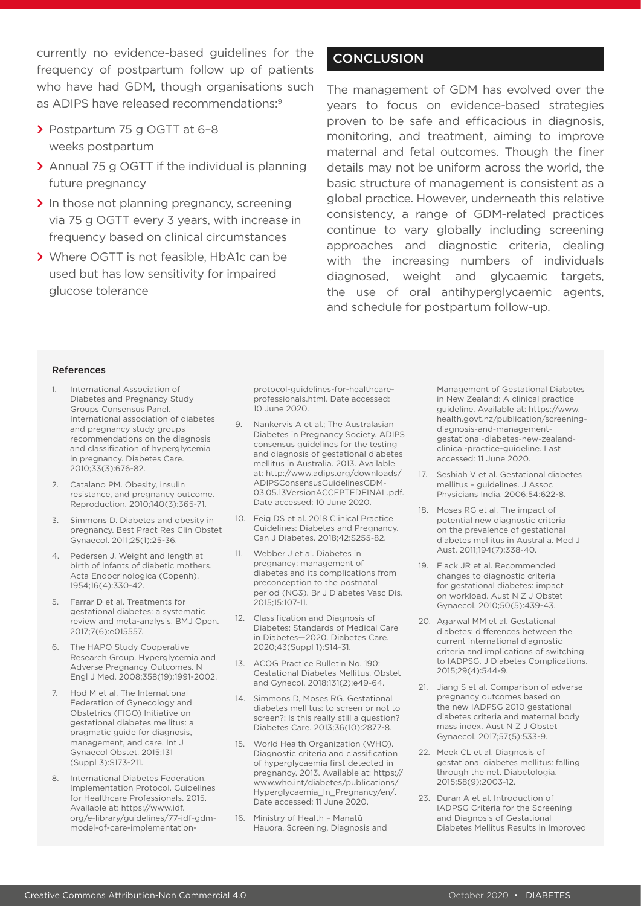currently no evidence-based guidelines for the frequency of postpartum follow up of patients who have had GDM, though organisations such as ADIPS have released recommendations:9

- **>** Postpartum 75 g OGTT at 6–8 weeks postpartum
- **>** Annual 75 g OGTT if the individual is planning future pregnancy
- **>** In those not planning pregnancy, screening via 75 g OGTT every 3 years, with increase in frequency based on clinical circumstances
- **>** Where OGTT is not feasible, HbA1c can be used but has low sensitivity for impaired glucose tolerance

### **CONCLUSION**

The management of GDM has evolved over the years to focus on evidence-based strategies proven to be safe and efficacious in diagnosis, monitoring, and treatment, aiming to improve maternal and fetal outcomes. Though the finer details may not be uniform across the world, the basic structure of management is consistent as a global practice. However, underneath this relative consistency, a range of GDM-related practices continue to vary globally including screening approaches and diagnostic criteria, dealing with the increasing numbers of individuals diagnosed, weight and glycaemic targets, the use of oral antihyperglycaemic agents, and schedule for postpartum follow-up.

#### References

- 1. International Association of Diabetes and Pregnancy Study Groups Consensus Panel. International association of diabetes and pregnancy study groups recommendations on the diagnosis and classification of hyperglycemia in pregnancy. Diabetes Care. 2010;33(3):676-82.
- 2. Catalano PM. Obesity, insulin resistance, and pregnancy outcome. Reproduction. 2010;140(3):365-71.
- 3. Simmons D. Diabetes and obesity in pregnancy. Best Pract Res Clin Obstet Gynaecol. 2011;25(1):25-36.
- 4. Pedersen J. Weight and length at birth of infants of diabetic mothers. Acta Endocrinologica (Copenh). 1954;16(4):330-42.
- 5. Farrar D et al. Treatments for gestational diabetes: a systematic review and meta-analysis. BMJ Open. 2017;7(6):e015557.
- 6. The HAPO Study Cooperative Research Group. Hyperglycemia and Adverse Pregnancy Outcomes. N Engl J Med. 2008;358(19):1991-2002.
- 7. Hod M et al. The International Federation of Gynecology and Obstetrics (FIGO) Initiative on gestational diabetes mellitus: a pragmatic guide for diagnosis, management, and care. Int J Gynaecol Obstet. 2015;131 (Suppl 3):S173-211.
- 8. International Diabetes Federation. Implementation Protocol. Guidelines for Healthcare Professionals. 2015. Available at: https://www.idf. org/e-library/guidelines/77-idf-gdmmodel-of-care-implementation-

protocol-guidelines-for-healthcareprofessionals.html. Date accessed: 10 June 2020.

- 9. Nankervis A et al.; The Australasian Diabetes in Pregnancy Society. ADIPS consensus guidelines for the testing and diagnosis of gestational diabetes mellitus in Australia. 2013. Available at: http://www.adips.org/downloads/ ADIPSConsensusGuidelinesGDM-03.05.13VersionACCEPTEDFINAL.pdf. Date accessed: 10 June 2020.
- 10. Feig DS et al. 2018 Clinical Practice Guidelines: Diabetes and Pregnancy. Can J Diabetes. 2018;42:S255-82.
- 11. Webber J et al. Diabetes in pregnancy: management of diabetes and its complications from preconception to the postnatal period (NG3). Br J Diabetes Vasc Dis. 2015;15:107-11.
- 12. Classification and Diagnosis of Diabetes: Standards of Medical Care in Diabetes—2020. Diabetes Care. 2020;43(Suppl 1):S14-31.
- 13. ACOG Practice Bulletin No. 190: Gestational Diabetes Mellitus. Obstet and Gynecol. 2018;131(2):e49-64.
- 14. Simmons D, Moses RG. Gestational diabetes mellitus: to screen or not to screen?: Is this really still a question? Diabetes Care. 2013;36(10):2877-8.
- 15. World Health Organization (WHO). Diagnostic criteria and classification of hyperglycaemia first detected in pregnancy. 2013. Available at: https:// www.who.int/diabetes/publications/ Hyperglycaemia\_In\_Pregnancy/en/. Date accessed: 11 June 2020.
- 16. Ministry of Health Manatū Hauora. Screening, Diagnosis and

Management of Gestational Diabetes in New Zealand: A clinical practice guideline. Available at: https://www. health.govt.nz/publication/screeningdiagnosis-and-managementgestational-diabetes-new-zealandclinical-practice-guideline. Last accessed: 11 June 2020.

- 17. Seshiah V et al. Gestational diabetes mellitus – guidelines. J Assoc Physicians India. 2006;54:622-8.
- 18. Moses RG et al. The impact of potential new diagnostic criteria on the prevalence of gestational diabetes mellitus in Australia. Med J Aust. 2011;194(7):338-40.
- 19. Flack JR et al. Recommended changes to diagnostic criteria for gestational diabetes: impact on workload. Aust N Z J Obstet Gynaecol. 2010;50(5):439-43.
- 20. Agarwal MM et al. Gestational diabetes: differences between the current international diagnostic criteria and implications of switching to IADPSG. J Diabetes Complications. 2015;29(4):544-9.
- 21. Jiang S et al. Comparison of adverse pregnancy outcomes based on the new IADPSG 2010 gestational diabetes criteria and maternal body mass index. Aust N Z J Obstet Gynaecol. 2017;57(5):533-9.
- 22. Meek CL et al. Diagnosis of gestational diabetes mellitus: falling through the net. Diabetologia. 2015;58(9):2003-12.
- 23. Duran A et al. Introduction of IADPSG Criteria for the Screening and Diagnosis of Gestational Diabetes Mellitus Results in Improved